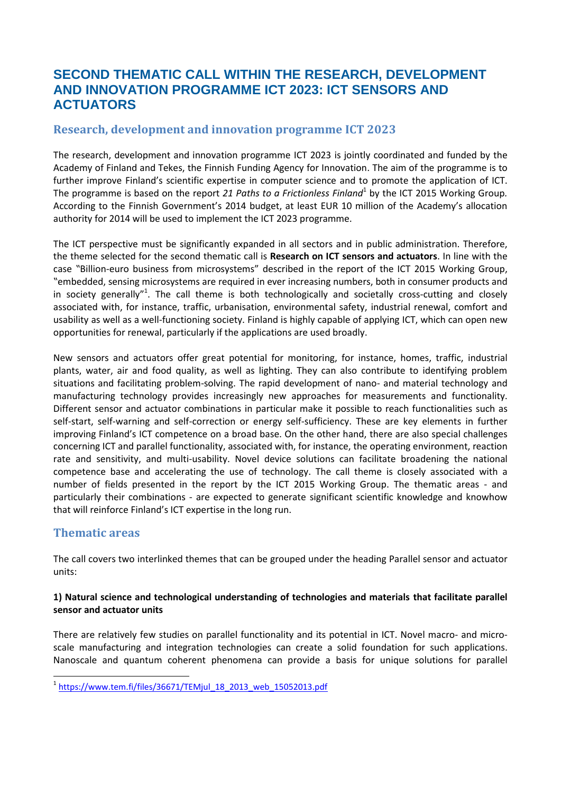# **SECOND THEMATIC CALL WITHIN THE RESEARCH, DEVELOPMENT AND INNOVATION PROGRAMME ICT 2023: ICT SENSORS AND ACTUATORS**

### **Research, development and innovation programme ICT 2023**

The research, development and innovation programme ICT 2023 is jointly coordinated and funded by the Academy of Finland and Tekes, the Finnish Funding Agency for Innovation. The aim of the programme is to further improve Finland's scientific expertise in computer science and to promote the application of ICT. The programme is based on the report 21 Paths to a Frictionless Finland<sup>1</sup> by the ICT 2015 Working Group. According to the Finnish Government's 2014 budget, at least EUR 10 million of the Academy's allocation authority for 2014 will be used to implement the ICT 2023 programme.

The ICT perspective must be significantly expanded in all sectors and in public administration. Therefore, the theme selected for the second thematic call is **Research on ICT sensors and actuators**. In line with the case "Billion-euro business from microsystems" described in the report of the ICT 2015 Working Group, "embedded, sensing microsystems are required in ever increasing numbers, both in consumer products and in society generally"<sup>1</sup>. The call theme is both technologically and societally cross-cutting and closely associated with, for instance, traffic, urbanisation, environmental safety, industrial renewal, comfort and usability as well as a well-functioning society. Finland is highly capable of applying ICT, which can open new opportunities for renewal, particularly if the applications are used broadly.

New sensors and actuators offer great potential for monitoring, for instance, homes, traffic, industrial plants, water, air and food quality, as well as lighting. They can also contribute to identifying problem situations and facilitating problem-solving. The rapid development of nano- and material technology and manufacturing technology provides increasingly new approaches for measurements and functionality. Different sensor and actuator combinations in particular make it possible to reach functionalities such as self-start, self-warning and self-correction or energy self-sufficiency. These are key elements in further improving Finland's ICT competence on a broad base. On the other hand, there are also special challenges concerning ICT and parallel functionality, associated with, for instance, the operating environment, reaction rate and sensitivity, and multi-usability. Novel device solutions can facilitate broadening the national competence base and accelerating the use of technology. The call theme is closely associated with a number of fields presented in the report by the ICT 2015 Working Group. The thematic areas - and particularly their combinations - are expected to generate significant scientific knowledge and knowhow that will reinforce Finland's ICT expertise in the long run.

### **Thematic areas**

The call covers two interlinked themes that can be grouped under the heading Parallel sensor and actuator units:

#### **1) Natural science and technological understanding of technologies and materials that facilitate parallel sensor and actuator units**

There are relatively few studies on parallel functionality and its potential in ICT. Novel macro- and microscale manufacturing and integration technologies can create a solid foundation for such applications. Nanoscale and quantum coherent phenomena can provide a basis for unique solutions for parallel

<sup>1</sup> <sup>1</sup> [https://www.tem.fi/files/36671/TEMjul\\_18\\_2013\\_web\\_15052013.pdf](https://www.tem.fi/files/36671/TEMjul_18_2013_web_15052013.pdf)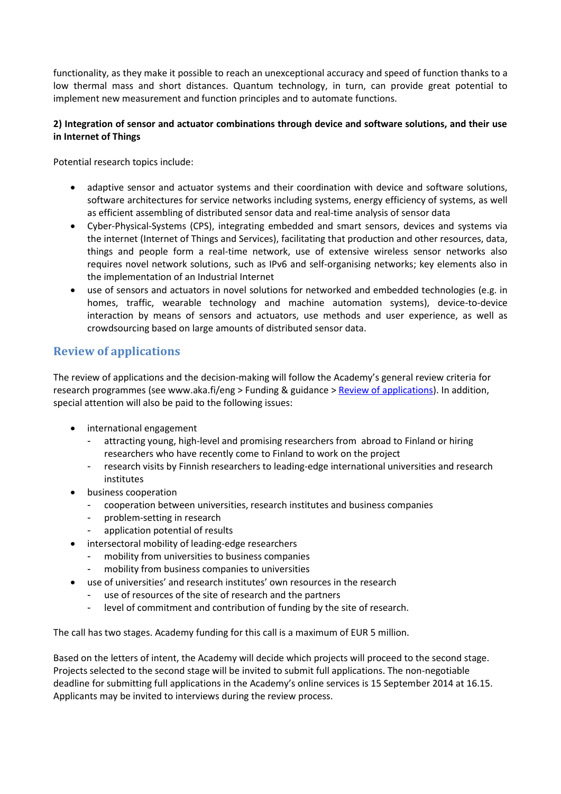functionality, as they make it possible to reach an unexceptional accuracy and speed of function thanks to a low thermal mass and short distances. Quantum technology, in turn, can provide great potential to implement new measurement and function principles and to automate functions.

#### **2) Integration of sensor and actuator combinations through device and software solutions, and their use in Internet of Things**

Potential research topics include:

- adaptive sensor and actuator systems and their coordination with device and software solutions, software architectures for service networks including systems, energy efficiency of systems, as well as efficient assembling of distributed sensor data and real-time analysis of sensor data
- Cyber-Physical-Systems (CPS), integrating embedded and smart sensors, devices and systems via the internet (Internet of Things and Services), facilitating that production and other resources, data, things and people form a real-time network, use of extensive wireless sensor networks also requires novel network solutions, such as IPv6 and self-organising networks; key elements also in the implementation of an Industrial Internet
- use of sensors and actuators in novel solutions for networked and embedded technologies (e.g. in homes, traffic, wearable technology and machine automation systems), device-to-device interaction by means of sensors and actuators, use methods and user experience, as well as crowdsourcing based on large amounts of distributed sensor data.

# **Review of applications**

The review of applications and the decision-making will follow the Academy's general review criteria for research programmes (see www.aka.fi/eng > Funding & guidance [> Review of applications\)](http://www.aka.fi/en-GB/A/Funding-and-guidance/Review-of-applications/). In addition, special attention will also be paid to the following issues:

- international engagement
	- attracting young, high-level and promising researchers from abroad to Finland or hiring researchers who have recently come to Finland to work on the project
	- research visits by Finnish researchers to leading-edge international universities and research institutes
- business cooperation
	- cooperation between universities, research institutes and business companies
	- problem-setting in research
	- application potential of results
- intersectoral mobility of leading-edge researchers
	- mobility from universities to business companies
		- mobility from business companies to universities
- use of universities' and research institutes' own resources in the research
	- use of resources of the site of research and the partners
	- level of commitment and contribution of funding by the site of research.

The call has two stages. Academy funding for this call is a maximum of EUR 5 million.

Based on the letters of intent, the Academy will decide which projects will proceed to the second stage. Projects selected to the second stage will be invited to submit full applications. The non-negotiable deadline for submitting full applications in the Academy's online services is 15 September 2014 at 16.15. Applicants may be invited to interviews during the review process.